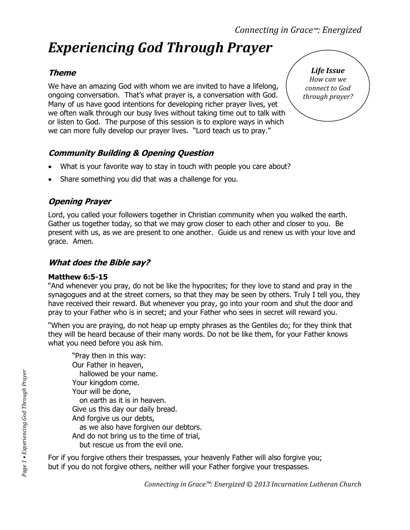# *Experiencing God Through Prayer*

## **Theme**

We have an amazing God with whom we are invited to have a lifelong, ongoing conversation. That's what prayer is, a conversation with God. Many of us have good intentions for developing richer prayer lives, yet we often walk through our busy lives without taking time out to talk with or listen to God. The purpose of this session is to explore ways in which we can more fully develop our prayer lives. "Lord teach us to pray."

## **Community Building & Opening Question**

- What is your favorite way to stay in touch with people you care about?
- Share something you did that was a challenge for you.

## **Opening Prayer**

Lord, you called your followers together in Christian community when you walked the earth. Gather us together today, so that we may grow closer to each other and closer to you. Be present with us, as we are present to one another. Guide us and renew us with your love and grace. Amen.

#### **What does the Bible say?**

#### **Matthew 6:5-15**

"And whenever you pray, do not be like the hypocrites; for they love to stand and pray in the synagogues and at the street corners, so that they may be seen by others. Truly I tell you, they have received their reward. But whenever you pray, go into your room and shut the door and pray to your Father who is in secret; and your Father who sees in secret will reward you.

"When you are praying, do not heap up empty phrases as the Gentiles do; for they think that they will be heard because of their many words. Do not be like them, for your Father knows what you need before you ask him.

"Pray then in this way: Our Father in heaven, hallowed be your name. Your kingdom come. Your will be done, on earth as it is in heaven. Give us this day our daily bread. And forgive us our debts, as we also have forgiven our debtors. And do not bring us to the time of trial, but rescue us from the evil one.

For if you forgive others their trespasses, your heavenly Father will also forgive you; but if you do not forgive others, neither will your Father forgive your trespasses.

*Life Issue How can we connect to God through prayer?*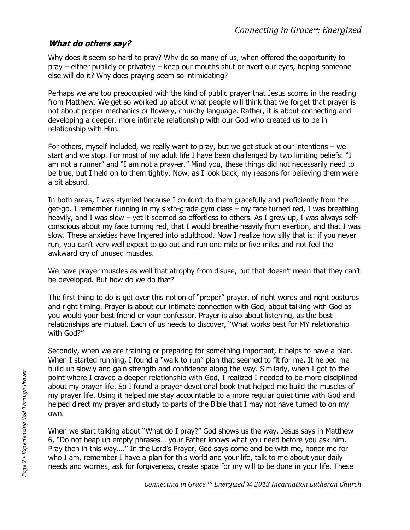### **What do others say?**

Why does it seem so hard to pray? Why do so many of us, when offered the opportunity to pray – either publicly or privately – keep our mouths shut or avert our eyes, hoping someone else will do it? Why does praying seem so intimidating?

Perhaps we are too preoccupied with the kind of public prayer that Jesus scorns in the reading from Matthew. We get so worked up about what people will think that we forget that prayer is not about proper mechanics or flowery, churchy language. Rather, it is about connecting and developing a deeper, more intimate relationship with our God who created us to be in relationship with Him.

For others, myself included, we really want to pray, but we get stuck at our intentions – we start and we stop. For most of my adult life I have been challenged by two limiting beliefs: "I am not a runner" and "I am not a pray-er." Mind you, these things did not necessarily need to be true, but I held on to them tightly. Now, as I look back, my reasons for believing them were a bit absurd.

In both areas, I was stymied because I couldn't do them gracefully and proficiently from the get-go. I remember running in my sixth-grade gym class – my face turned red, I was breathing heavily, and I was slow – yet it seemed so effortless to others. As I grew up, I was always selfconscious about my face turning red, that I would breathe heavily from exertion, and that I was slow. These anxieties have lingered into adulthood. Now I realize how silly that is: if you never run, you can't very well expect to go out and run one mile or five miles and not feel the awkward cry of unused muscles.

We have prayer muscles as well that atrophy from disuse, but that doesn't mean that they can't be developed. But how do we do that?

The first thing to do is get over this notion of "proper" prayer, of right words and right postures and right timing. Prayer is about our intimate connection with God, about talking with God as you would your best friend or your confessor. Prayer is also about listening, as the best relationships are mutual. Each of us needs to discover, "What works best for MY relationship with God?"

Secondly, when we are training or preparing for something important, it helps to have a plan. When I started running, I found a "walk to run" plan that seemed to fit for me. It helped me build up slowly and gain strength and confidence along the way. Similarly, when I got to the point where I craved a deeper relationship with God, I realized I needed to be more disciplined about my prayer life. So I found a prayer devotional book that helped me build the muscles of my prayer life. Using it helped me stay accountable to a more regular quiet time with God and helped direct my prayer and study to parts of the Bible that I may not have turned to on my own.

When we start talking about "What do I pray?" God shows us the way. Jesus says in Matthew 6, "Do not heap up empty phrases… your Father knows what you need before you ask him. Pray then in this way…." In the Lord's Prayer, God says come and be with me, honor me for who I am, remember I have a plan for this world and your life, talk to me about your daily needs and worries, ask for forgiveness, create space for my will to be done in your life. These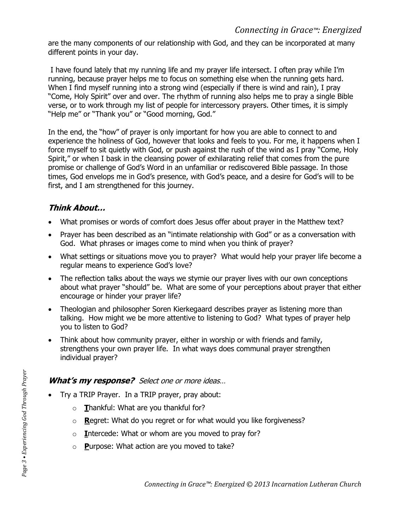are the many components of our relationship with God, and they can be incorporated at many different points in your day.

I have found lately that my running life and my prayer life intersect. I often pray while I'm running, because prayer helps me to focus on something else when the running gets hard. When I find myself running into a strong wind (especially if there is wind and rain), I pray "Come, Holy Spirit" over and over. The rhythm of running also helps me to pray a single Bible verse, or to work through my list of people for intercessory prayers. Other times, it is simply "Help me" or "Thank you" or "Good morning, God."

In the end, the "how" of prayer is only important for how you are able to connect to and experience the holiness of God, however that looks and feels to you. For me, it happens when I force myself to sit quietly with God, or push against the rush of the wind as I pray "Come, Holy Spirit," or when I bask in the cleansing power of exhilarating relief that comes from the pure promise or challenge of God's Word in an unfamiliar or rediscovered Bible passage. In those times, God envelops me in God's presence, with God's peace, and a desire for God's will to be first, and I am strengthened for this journey.

## **Think About…**

- What promises or words of comfort does Jesus offer about prayer in the Matthew text?
- Prayer has been described as an "intimate relationship with God" or as a conversation with God. What phrases or images come to mind when you think of prayer?
- What settings or situations move you to prayer? What would help your prayer life become a regular means to experience God's love?
- The reflection talks about the ways we stymie our prayer lives with our own conceptions about what prayer "should" be. What are some of your perceptions about prayer that either encourage or hinder your prayer life?
- Theologian and philosopher Soren Kierkegaard describes prayer as listening more than talking. How might we be more attentive to listening to God? What types of prayer help you to listen to God?
- Think about how community prayer, either in worship or with friends and family, strengthens your own prayer life. In what ways does communal prayer strengthen individual prayer?

## **What's my response?** Select one or more ideas…

- Try a TRIP Prayer. In a TRIP prayer, pray about:
	- o **T**hankful: What are you thankful for?
	- o **R**egret: What do you regret or for what would you like forgiveness?
	- o **I**ntercede: What or whom are you moved to pray for?
	- o **P**urpose: What action are you moved to take?